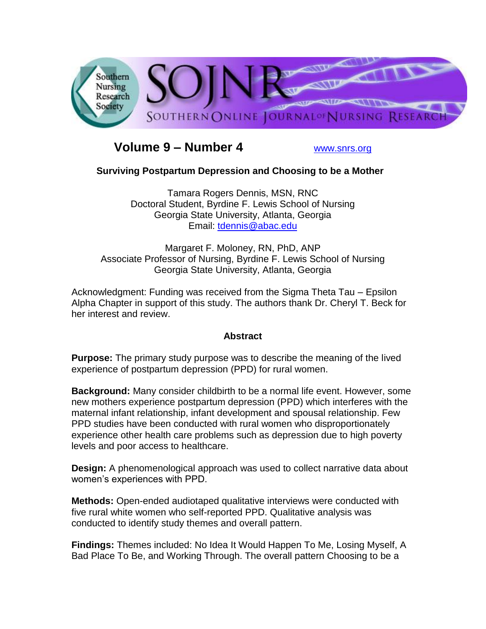

# **Volume 9 – Number 4** [www.snrs.org](http://www.snrs.org/)

# **Surviving Postpartum Depression and Choosing to be a Mother**

Tamara Rogers Dennis, MSN, RNC Doctoral Student, Byrdine F. Lewis School of Nursing Georgia State University, Atlanta, Georgia Email: [tdennis@abac.edu](mailto:tdennis@abac.edu)

Margaret F. Moloney, RN, PhD, ANP Associate Professor of Nursing, Byrdine F. Lewis School of Nursing Georgia State University, Atlanta, Georgia

Acknowledgment: Funding was received from the Sigma Theta Tau – Epsilon Alpha Chapter in support of this study. The authors thank Dr. Cheryl T. Beck for her interest and review.

#### **Abstract**

**Purpose:** The primary study purpose was to describe the meaning of the lived experience of postpartum depression (PPD) for rural women.

**Background:** Many consider childbirth to be a normal life event. However, some new mothers experience postpartum depression (PPD) which interferes with the maternal infant relationship, infant development and spousal relationship. Few PPD studies have been conducted with rural women who disproportionately experience other health care problems such as depression due to high poverty levels and poor access to healthcare.

**Design:** A phenomenological approach was used to collect narrative data about women's experiences with PPD.

**Methods:** Open-ended audiotaped qualitative interviews were conducted with five rural white women who self-reported PPD. Qualitative analysis was conducted to identify study themes and overall pattern.

**Findings:** Themes included: No Idea It Would Happen To Me, Losing Myself, A Bad Place To Be, and Working Through. The overall pattern Choosing to be a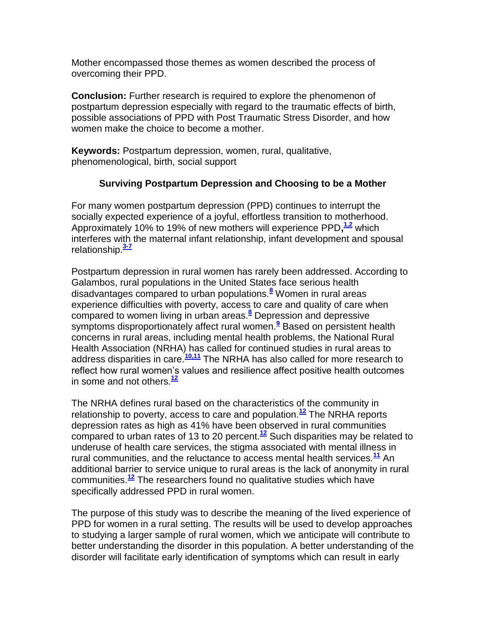Mother encompassed those themes as women described the process of overcoming their PPD.

**Conclusion:** Further research is required to explore the phenomenon of postpartum depression especially with regard to the traumatic effects of birth, possible associations of PPD with Post Traumatic Stress Disorder, and how women make the choice to become a mother.

**Keywords:** Postpartum depression, women, rural, qualitative, phenomenological, birth, social support

### **Surviving Postpartum Depression and Choosing to be a Mother**

For many women postpartum depression (PPD) continues to interrupt the socially expected experience of a joyful, effortless transition to motherhood. Approximately 10% to 19% of new mothers will experience PPD**, [1,2](http://snrs.org/publications/SOJNR_articles2/n)** which interferes with the maternal infant relationship, infant development and spousal relationship.**[3-7](http://snrs.org/publications/SOJNR_articles2/n)**

Postpartum depression in rural women has rarely been addressed. According to Galambos, rural populations in the United States face serious health disadvantages compared to urban populations.**[8](http://snrs.org/publications/SOJNR_articles2/n)** Women in rural areas experience difficulties with poverty, access to care and quality of care when compared to women living in urban areas.**[8](http://snrs.org/publications/SOJNR_articles2/n)** Depression and depressive symptoms disproportionately affect rural women.**[9](http://snrs.org/publications/SOJNR_articles2/n)** Based on persistent health concerns in rural areas, including mental health problems, the National Rural Health Association (NRHA) has called for continued studies in rural areas to address disparities in care.**[10,11](http://snrs.org/publications/SOJNR_articles2/n)** The NRHA has also called for more research to reflect how rural women's values and resilience affect positive health outcomes in some and not others.**[12](http://snrs.org/publications/SOJNR_articles2/n)**

The NRHA defines rural based on the characteristics of the community in relationship to poverty, access to care and population.**[12](http://snrs.org/publications/SOJNR_articles2/n)** The NRHA reports depression rates as high as 41% have been observed in rural communities compared to urban rates of 13 to 20 percent.**[12](http://snrs.org/publications/SOJNR_articles2/n)** Such disparities may be related to underuse of health care services, the stigma associated with mental illness in rural communities, and the reluctance to access mental health services.**[11](http://snrs.org/publications/SOJNR_articles2/n)** An additional barrier to service unique to rural areas is the lack of anonymity in rural communities.**[12](http://snrs.org/publications/SOJNR_articles2/n)** The researchers found no qualitative studies which have specifically addressed PPD in rural women.

The purpose of this study was to describe the meaning of the lived experience of PPD for women in a rural setting. The results will be used to develop approaches to studying a larger sample of rural women, which we anticipate will contribute to better understanding the disorder in this population. A better understanding of the disorder will facilitate early identification of symptoms which can result in early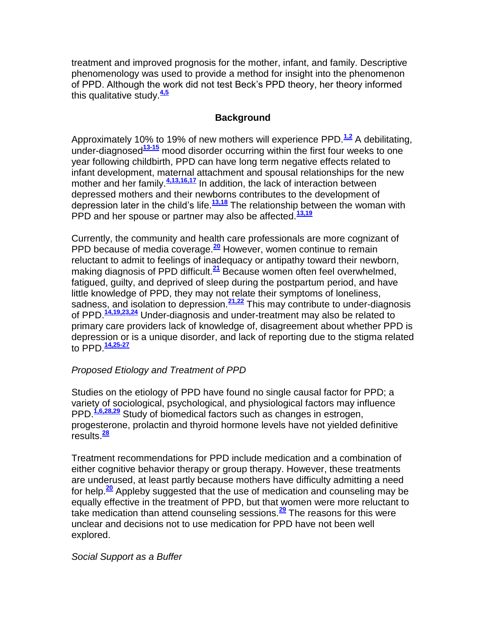treatment and improved prognosis for the mother, infant, and family. Descriptive phenomenology was used to provide a method for insight into the phenomenon of PPD. Although the work did not test Beck's PPD theory, her theory informed this qualitative study.**[4,5](http://snrs.org/publications/SOJNR_articles2/n)**

#### **Background**

Approximately 10% to 19% of new mothers will experience PPD.<sup>[1,2](http://snrs.org/publications/SOJNR_articles2/n)</sup> A debilitating, under-diagnosed**[13-15](http://snrs.org/publications/SOJNR_articles2/n)** mood disorder occurring within the first four weeks to one year following childbirth, PPD can have long term negative effects related to infant development, maternal attachment and spousal relationships for the new mother and her family.<sup>[4,13,16,17](http://snrs.org/publications/SOJNR_articles2/n)</sup> In addition, the lack of interaction between depressed mothers and their newborns contributes to the development of depression later in the child's life.**[13,18](http://snrs.org/publications/SOJNR_articles2/n)** The relationship between the woman with PPD and her spouse or partner may also be affected.**[13,19](http://snrs.org/publications/SOJNR_articles2/n)**

Currently, the community and health care professionals are more cognizant of PPD because of media coverage.**[20](http://snrs.org/publications/SOJNR_articles2/n)** However, women continue to remain reluctant to admit to feelings of inadequacy or antipathy toward their newborn, making diagnosis of PPD difficult.**[21](http://snrs.org/publications/SOJNR_articles2/n)** Because women often feel overwhelmed, fatigued, guilty, and deprived of sleep during the postpartum period, and have little knowledge of PPD, they may not relate their symptoms of loneliness, sadness, and isolation to depression.**[21,22](http://snrs.org/publications/SOJNR_articles2/n)** This may contribute to under-diagnosis of PPD.**[14,19,23,24](http://snrs.org/publications/SOJNR_articles2/n)** Under-diagnosis and under-treatment may also be related to primary care providers lack of knowledge of, disagreement about whether PPD is depression or is a unique disorder, and lack of reporting due to the stigma related to PPD.**[14,25-27](http://snrs.org/publications/SOJNR_articles2/n)**

# *Proposed Etiology and Treatment of PPD*

Studies on the etiology of PPD have found no single causal factor for PPD; a variety of sociological, psychological, and physiological factors may influence PPD.**[1,6,28,29](http://snrs.org/publications/SOJNR_articles2/n)** Study of biomedical factors such as changes in estrogen, progesterone, prolactin and thyroid hormone levels have not yielded definitive results.**[28](http://snrs.org/publications/SOJNR_articles2/n)**

Treatment recommendations for PPD include medication and a combination of either cognitive behavior therapy or group therapy. However, these treatments are underused, at least partly because mothers have difficulty admitting a need for help.**[20](http://snrs.org/publications/SOJNR_articles2/n)** Appleby suggested that the use of medication and counseling may be equally effective in the treatment of PPD, but that women were more reluctant to take medication than attend counseling sessions.**[29](http://snrs.org/publications/SOJNR_articles2/n)** The reasons for this were unclear and decisions not to use medication for PPD have not been well explored.

#### *Social Support as a Buffer*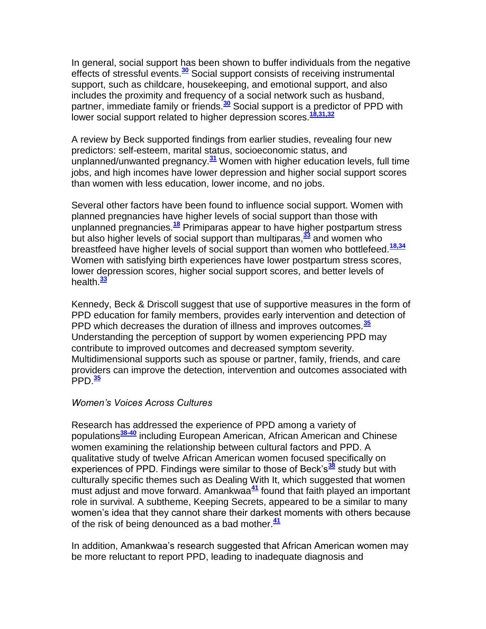In general, social support has been shown to buffer individuals from the negative effects of stressful events.**[30](http://snrs.org/publications/SOJNR_articles2/n)** Social support consists of receiving instrumental support, such as childcare, housekeeping, and emotional support, and also includes the proximity and frequency of a social network such as husband, partner, immediate family or friends.**[30](http://snrs.org/publications/SOJNR_articles2/n)** Social support is a predictor of PPD with lower social support related to higher depression scores.<sup>[18,31,32](http://snrs.org/publications/SOJNR_articles2/n)</sup>

A review by Beck supported findings from earlier studies, revealing four new predictors: self-esteem, marital status, socioeconomic status, and unplanned/unwanted pregnancy.**[31](http://snrs.org/publications/SOJNR_articles2/n)** Women with higher education levels, full time jobs, and high incomes have lower depression and higher social support scores than women with less education, lower income, and no jobs.

Several other factors have been found to influence social support. Women with planned pregnancies have higher levels of social support than those with unplanned pregnancies.**[18](http://snrs.org/publications/SOJNR_articles2/n)** Primiparas appear to have higher postpartum stress but also higher levels of social support than multiparas,**[33](http://snrs.org/publications/SOJNR_articles2/n)** and women who breastfeed have higher levels of social support than women who bottlefeed.**[18,34](http://snrs.org/publications/SOJNR_articles2/n)** Women with satisfying birth experiences have lower postpartum stress scores, lower depression scores, higher social support scores, and better levels of health.**[33](http://snrs.org/publications/SOJNR_articles2/n)**

Kennedy, Beck & Driscoll suggest that use of supportive measures in the form of PPD education for family members, provides early intervention and detection of PPD which decreases the duration of illness and improves outcomes.**[35](http://snrs.org/publications/SOJNR_articles2/n)** Understanding the perception of support by women experiencing PPD may contribute to improved outcomes and decreased symptom severity. Multidimensional supports such as spouse or partner, family, friends, and care providers can improve the detection, intervention and outcomes associated with PPD.**[35](http://snrs.org/publications/SOJNR_articles2/n)**

#### *Women's Voices Across Cultures*

Research has addressed the experience of PPD among a variety of populations**[38-40](http://snrs.org/publications/SOJNR_articles2/n)** including European American, African American and Chinese women examining the relationship between cultural factors and PPD. A qualitative study of twelve African American women focused specifically on experiences of PPD. Findings were similar to those of Beck's**[38](http://snrs.org/publications/SOJNR_articles2/n)** study but with culturally specific themes such as Dealing With It, which suggested that women must adjust and move forward. Amankwaa**[41](http://snrs.org/publications/SOJNR_articles2/n)** found that faith played an important role in survival. A subtheme, Keeping Secrets, appeared to be a similar to many women's idea that they cannot share their darkest moments with others because of the risk of being denounced as a bad mother.**[41](http://snrs.org/publications/SOJNR_articles2/n)**

In addition, Amankwaa's research suggested that African American women may be more reluctant to report PPD, leading to inadequate diagnosis and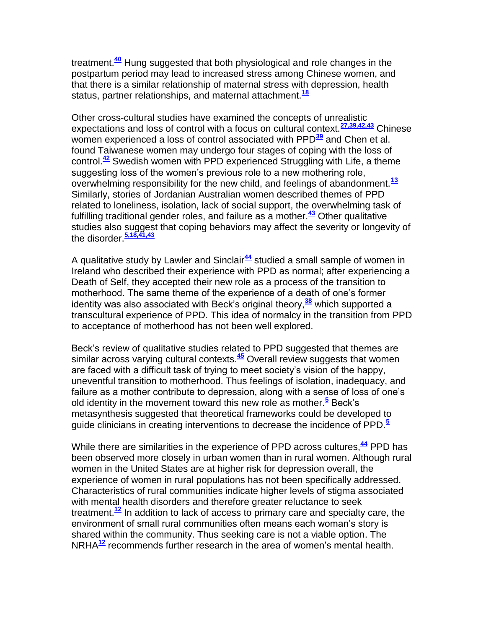treatment.**[40](http://snrs.org/publications/SOJNR_articles2/n)** Hung suggested that both physiological and role changes in the postpartum period may lead to increased stress among Chinese women, and that there is a similar relationship of maternal stress with depression, health status, partner relationships, and maternal attachment.**[18](http://snrs.org/publications/SOJNR_articles2/n)**

Other cross-cultural studies have examined the concepts of unrealistic expectations and loss of control with a focus on cultural context.**[27,39,42,43](http://snrs.org/publications/SOJNR_articles2/n)** Chinese women experienced a loss of control associated with PPD**[39](http://snrs.org/publications/SOJNR_articles2/n)** and Chen et al. found Taiwanese women may undergo four stages of coping with the loss of control.**[42](http://snrs.org/publications/SOJNR_articles2/n)** Swedish women with PPD experienced Struggling with Life, a theme suggesting loss of the women's previous role to a new mothering role, overwhelming responsibility for the new child, and feelings of abandonment.**[13](http://snrs.org/publications/SOJNR_articles2/n)** Similarly, stories of Jordanian Australian women described themes of PPD related to loneliness, isolation, lack of social support, the overwhelming task of fulfilling traditional gender roles, and failure as a mother.**[43](http://snrs.org/publications/SOJNR_articles2/n)** Other qualitative studies also suggest that coping behaviors may affect the severity or longevity of the disorder.**[5,18,41,43](http://snrs.org/publications/SOJNR_articles2/n)**

A qualitative study by Lawler and Sinclair**[44](http://snrs.org/publications/SOJNR_articles2/n)** studied a small sample of women in Ireland who described their experience with PPD as normal; after experiencing a Death of Self, they accepted their new role as a process of the transition to motherhood. The same theme of the experience of a death of one's former identity was also associated with Beck's original theory,**[38](http://snrs.org/publications/SOJNR_articles2/n)** which supported a transcultural experience of PPD. This idea of normalcy in the transition from PPD to acceptance of motherhood has not been well explored.

Beck's review of qualitative studies related to PPD suggested that themes are similar across varying cultural contexts.**[45](http://snrs.org/publications/SOJNR_articles2/n)** Overall review suggests that women are faced with a difficult task of trying to meet society's vision of the happy, uneventful transition to motherhood. Thus feelings of isolation, inadequacy, and failure as a mother contribute to depression, along with a sense of loss of one's old identity in the movement toward this new role as mother.**[5](http://snrs.org/publications/SOJNR_articles2/n)** Beck's metasynthesis suggested that theoretical frameworks could be developed to guide clinicians in creating interventions to decrease the incidence of PPD.**[5](http://snrs.org/publications/SOJNR_articles2/n)**

While there are similarities in the experience of PPD across cultures,**[44](http://snrs.org/publications/SOJNR_articles2/n)** PPD has been observed more closely in urban women than in rural women. Although rural women in the United States are at higher risk for depression overall, the experience of women in rural populations has not been specifically addressed. Characteristics of rural communities indicate higher levels of stigma associated with mental health disorders and therefore greater reluctance to seek treatment.**[12](http://snrs.org/publications/SOJNR_articles2/n)** In addition to lack of access to primary care and specialty care, the environment of small rural communities often means each woman's story is shared within the community. Thus seeking care is not a viable option. The NRHA**[12](http://snrs.org/publications/SOJNR_articles2/n)** recommends further research in the area of women's mental health.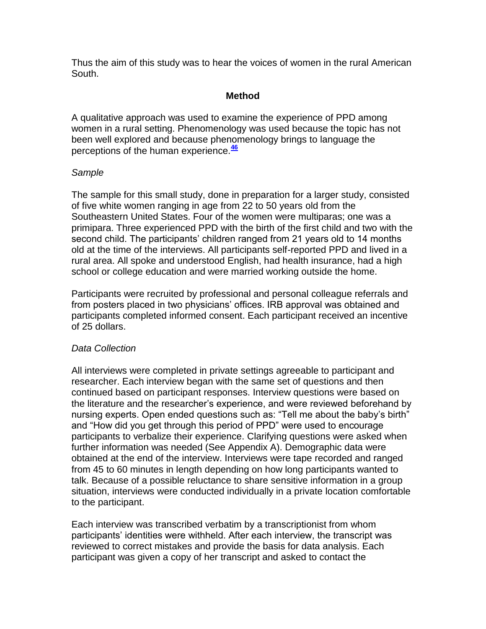Thus the aim of this study was to hear the voices of women in the rural American South.

#### **Method**

A qualitative approach was used to examine the experience of PPD among women in a rural setting. Phenomenology was used because the topic has not been well explored and because phenomenology brings to language the perceptions of the human experience.**[46](http://snrs.org/publications/SOJNR_articles2/n)**

#### *Sample*

The sample for this small study, done in preparation for a larger study, consisted of five white women ranging in age from 22 to 50 years old from the Southeastern United States. Four of the women were multiparas; one was a primipara. Three experienced PPD with the birth of the first child and two with the second child. The participants' children ranged from 21 years old to 14 months old at the time of the interviews. All participants self-reported PPD and lived in a rural area. All spoke and understood English, had health insurance, had a high school or college education and were married working outside the home.

Participants were recruited by professional and personal colleague referrals and from posters placed in two physicians' offices. IRB approval was obtained and participants completed informed consent. Each participant received an incentive of 25 dollars.

# *Data Collection*

All interviews were completed in private settings agreeable to participant and researcher. Each interview began with the same set of questions and then continued based on participant responses. Interview questions were based on the literature and the researcher's experience, and were reviewed beforehand by nursing experts. Open ended questions such as: "Tell me about the baby's birth" and "How did you get through this period of PPD" were used to encourage participants to verbalize their experience. Clarifying questions were asked when further information was needed (See Appendix A). Demographic data were obtained at the end of the interview. Interviews were tape recorded and ranged from 45 to 60 minutes in length depending on how long participants wanted to talk. Because of a possible reluctance to share sensitive information in a group situation, interviews were conducted individually in a private location comfortable to the participant.

Each interview was transcribed verbatim by a transcriptionist from whom participants' identities were withheld. After each interview, the transcript was reviewed to correct mistakes and provide the basis for data analysis. Each participant was given a copy of her transcript and asked to contact the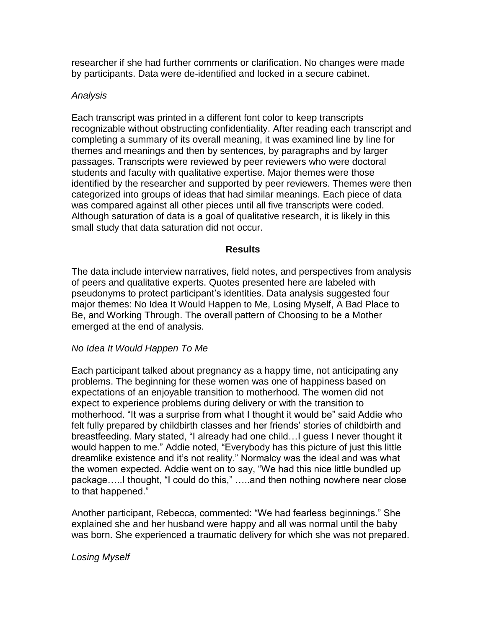researcher if she had further comments or clarification. No changes were made by participants. Data were de-identified and locked in a secure cabinet.

#### *Analysis*

Each transcript was printed in a different font color to keep transcripts recognizable without obstructing confidentiality. After reading each transcript and completing a summary of its overall meaning, it was examined line by line for themes and meanings and then by sentences, by paragraphs and by larger passages. Transcripts were reviewed by peer reviewers who were doctoral students and faculty with qualitative expertise. Major themes were those identified by the researcher and supported by peer reviewers. Themes were then categorized into groups of ideas that had similar meanings. Each piece of data was compared against all other pieces until all five transcripts were coded. Although saturation of data is a goal of qualitative research, it is likely in this small study that data saturation did not occur.

### **Results**

The data include interview narratives, field notes, and perspectives from analysis of peers and qualitative experts. Quotes presented here are labeled with pseudonyms to protect participant's identities. Data analysis suggested four major themes: No Idea It Would Happen to Me, Losing Myself, A Bad Place to Be, and Working Through. The overall pattern of Choosing to be a Mother emerged at the end of analysis.

# *No Idea It Would Happen To Me*

Each participant talked about pregnancy as a happy time, not anticipating any problems. The beginning for these women was one of happiness based on expectations of an enjoyable transition to motherhood. The women did not expect to experience problems during delivery or with the transition to motherhood. "It was a surprise from what I thought it would be" said Addie who felt fully prepared by childbirth classes and her friends' stories of childbirth and breastfeeding. Mary stated, "I already had one child…I guess I never thought it would happen to me." Addie noted, "Everybody has this picture of just this little dreamlike existence and it's not reality." Normalcy was the ideal and was what the women expected. Addie went on to say, "We had this nice little bundled up package…..I thought, "I could do this," …..and then nothing nowhere near close to that happened."

Another participant, Rebecca, commented: "We had fearless beginnings." She explained she and her husband were happy and all was normal until the baby was born. She experienced a traumatic delivery for which she was not prepared.

# *Losing Myself*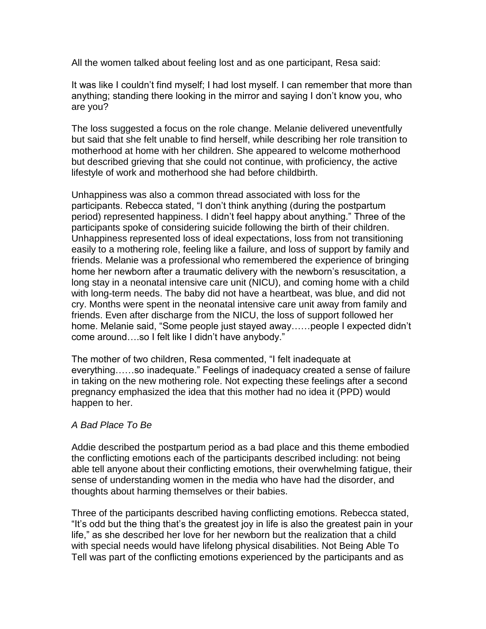All the women talked about feeling lost and as one participant, Resa said:

It was like I couldn't find myself; I had lost myself. I can remember that more than anything; standing there looking in the mirror and saying I don't know you, who are you?

The loss suggested a focus on the role change. Melanie delivered uneventfully but said that she felt unable to find herself, while describing her role transition to motherhood at home with her children. She appeared to welcome motherhood but described grieving that she could not continue, with proficiency, the active lifestyle of work and motherhood she had before childbirth.

Unhappiness was also a common thread associated with loss for the participants. Rebecca stated, "I don't think anything (during the postpartum period) represented happiness. I didn't feel happy about anything." Three of the participants spoke of considering suicide following the birth of their children. Unhappiness represented loss of ideal expectations, loss from not transitioning easily to a mothering role, feeling like a failure, and loss of support by family and friends. Melanie was a professional who remembered the experience of bringing home her newborn after a traumatic delivery with the newborn's resuscitation, a long stay in a neonatal intensive care unit (NICU), and coming home with a child with long-term needs. The baby did not have a heartbeat, was blue, and did not cry. Months were spent in the neonatal intensive care unit away from family and friends. Even after discharge from the NICU, the loss of support followed her home. Melanie said, "Some people just stayed away……people I expected didn't come around….so I felt like I didn't have anybody."

The mother of two children, Resa commented, "I felt inadequate at everything……so inadequate." Feelings of inadequacy created a sense of failure in taking on the new mothering role. Not expecting these feelings after a second pregnancy emphasized the idea that this mother had no idea it (PPD) would happen to her.

#### *A Bad Place To Be*

Addie described the postpartum period as a bad place and this theme embodied the conflicting emotions each of the participants described including: not being able tell anyone about their conflicting emotions, their overwhelming fatigue, their sense of understanding women in the media who have had the disorder, and thoughts about harming themselves or their babies.

Three of the participants described having conflicting emotions. Rebecca stated, "It's odd but the thing that's the greatest joy in life is also the greatest pain in your life," as she described her love for her newborn but the realization that a child with special needs would have lifelong physical disabilities. Not Being Able To Tell was part of the conflicting emotions experienced by the participants and as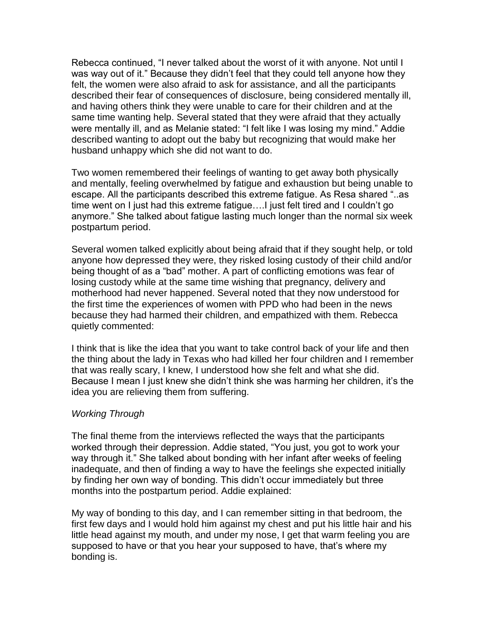Rebecca continued, "I never talked about the worst of it with anyone. Not until I was way out of it." Because they didn't feel that they could tell anyone how they felt, the women were also afraid to ask for assistance, and all the participants described their fear of consequences of disclosure, being considered mentally ill, and having others think they were unable to care for their children and at the same time wanting help. Several stated that they were afraid that they actually were mentally ill, and as Melanie stated: "I felt like I was losing my mind." Addie described wanting to adopt out the baby but recognizing that would make her husband unhappy which she did not want to do.

Two women remembered their feelings of wanting to get away both physically and mentally, feeling overwhelmed by fatigue and exhaustion but being unable to escape. All the participants described this extreme fatigue. As Resa shared "..as time went on I just had this extreme fatigue….I just felt tired and I couldn't go anymore." She talked about fatigue lasting much longer than the normal six week postpartum period.

Several women talked explicitly about being afraid that if they sought help, or told anyone how depressed they were, they risked losing custody of their child and/or being thought of as a "bad" mother. A part of conflicting emotions was fear of losing custody while at the same time wishing that pregnancy, delivery and motherhood had never happened. Several noted that they now understood for the first time the experiences of women with PPD who had been in the news because they had harmed their children, and empathized with them. Rebecca quietly commented:

I think that is like the idea that you want to take control back of your life and then the thing about the lady in Texas who had killed her four children and I remember that was really scary, I knew, I understood how she felt and what she did. Because I mean I just knew she didn't think she was harming her children, it's the idea you are relieving them from suffering.

#### *Working Through*

The final theme from the interviews reflected the ways that the participants worked through their depression. Addie stated, "You just, you got to work your way through it." She talked about bonding with her infant after weeks of feeling inadequate, and then of finding a way to have the feelings she expected initially by finding her own way of bonding. This didn't occur immediately but three months into the postpartum period. Addie explained:

My way of bonding to this day, and I can remember sitting in that bedroom, the first few days and I would hold him against my chest and put his little hair and his little head against my mouth, and under my nose, I get that warm feeling you are supposed to have or that you hear your supposed to have, that's where my bonding is.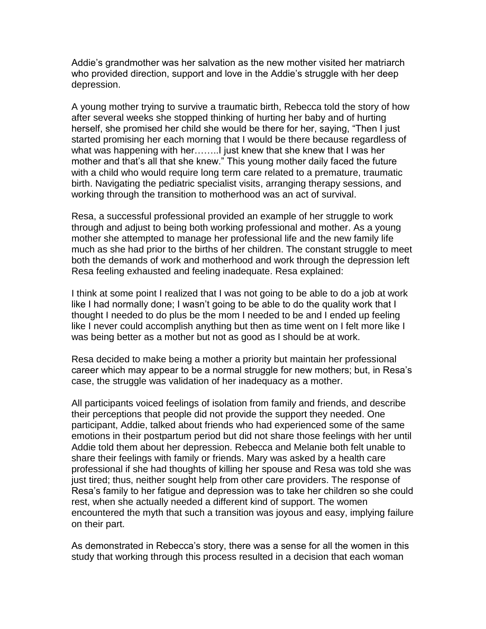Addie's grandmother was her salvation as the new mother visited her matriarch who provided direction, support and love in the Addie's struggle with her deep depression.

A young mother trying to survive a traumatic birth, Rebecca told the story of how after several weeks she stopped thinking of hurting her baby and of hurting herself, she promised her child she would be there for her, saying, "Then I just started promising her each morning that I would be there because regardless of what was happening with her……..I just knew that she knew that I was her mother and that's all that she knew." This young mother daily faced the future with a child who would require long term care related to a premature, traumatic birth. Navigating the pediatric specialist visits, arranging therapy sessions, and working through the transition to motherhood was an act of survival.

Resa, a successful professional provided an example of her struggle to work through and adjust to being both working professional and mother. As a young mother she attempted to manage her professional life and the new family life much as she had prior to the births of her children. The constant struggle to meet both the demands of work and motherhood and work through the depression left Resa feeling exhausted and feeling inadequate. Resa explained:

I think at some point I realized that I was not going to be able to do a job at work like I had normally done; I wasn't going to be able to do the quality work that I thought I needed to do plus be the mom I needed to be and I ended up feeling like I never could accomplish anything but then as time went on I felt more like I was being better as a mother but not as good as I should be at work.

Resa decided to make being a mother a priority but maintain her professional career which may appear to be a normal struggle for new mothers; but, in Resa's case, the struggle was validation of her inadequacy as a mother.

All participants voiced feelings of isolation from family and friends, and describe their perceptions that people did not provide the support they needed. One participant, Addie, talked about friends who had experienced some of the same emotions in their postpartum period but did not share those feelings with her until Addie told them about her depression. Rebecca and Melanie both felt unable to share their feelings with family or friends. Mary was asked by a health care professional if she had thoughts of killing her spouse and Resa was told she was just tired; thus, neither sought help from other care providers. The response of Resa's family to her fatigue and depression was to take her children so she could rest, when she actually needed a different kind of support. The women encountered the myth that such a transition was joyous and easy, implying failure on their part.

As demonstrated in Rebecca's story, there was a sense for all the women in this study that working through this process resulted in a decision that each woman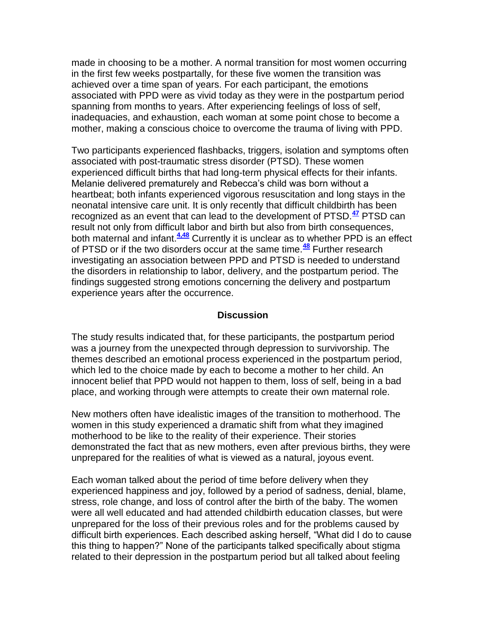made in choosing to be a mother. A normal transition for most women occurring in the first few weeks postpartally, for these five women the transition was achieved over a time span of years. For each participant, the emotions associated with PPD were as vivid today as they were in the postpartum period spanning from months to years. After experiencing feelings of loss of self, inadequacies, and exhaustion, each woman at some point chose to become a mother, making a conscious choice to overcome the trauma of living with PPD.

Two participants experienced flashbacks, triggers, isolation and symptoms often associated with post-traumatic stress disorder (PTSD). These women experienced difficult births that had long-term physical effects for their infants. Melanie delivered prematurely and Rebecca's child was born without a heartbeat; both infants experienced vigorous resuscitation and long stays in the neonatal intensive care unit. It is only recently that difficult childbirth has been recognized as an event that can lead to the development of PTSD.**[47](http://snrs.org/publications/SOJNR_articles2/n)** PTSD can result not only from difficult labor and birth but also from birth consequences, both maternal and infant.**[4,48](http://snrs.org/publications/SOJNR_articles2/n)** Currently it is unclear as to whether PPD is an effect of PTSD or if the two disorders occur at the same time.**[48](http://snrs.org/publications/SOJNR_articles2/n)** Further research investigating an association between PPD and PTSD is needed to understand the disorders in relationship to labor, delivery, and the postpartum period. The findings suggested strong emotions concerning the delivery and postpartum experience years after the occurrence.

#### **Discussion**

The study results indicated that, for these participants, the postpartum period was a journey from the unexpected through depression to survivorship. The themes described an emotional process experienced in the postpartum period, which led to the choice made by each to become a mother to her child. An innocent belief that PPD would not happen to them, loss of self, being in a bad place, and working through were attempts to create their own maternal role.

New mothers often have idealistic images of the transition to motherhood. The women in this study experienced a dramatic shift from what they imagined motherhood to be like to the reality of their experience. Their stories demonstrated the fact that as new mothers, even after previous births, they were unprepared for the realities of what is viewed as a natural, joyous event.

Each woman talked about the period of time before delivery when they experienced happiness and joy, followed by a period of sadness, denial, blame, stress, role change, and loss of control after the birth of the baby. The women were all well educated and had attended childbirth education classes, but were unprepared for the loss of their previous roles and for the problems caused by difficult birth experiences. Each described asking herself, "What did I do to cause this thing to happen?" None of the participants talked specifically about stigma related to their depression in the postpartum period but all talked about feeling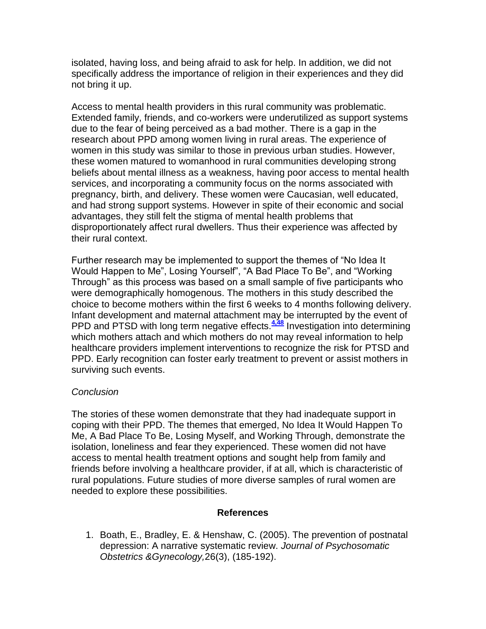isolated, having loss, and being afraid to ask for help. In addition, we did not specifically address the importance of religion in their experiences and they did not bring it up.

Access to mental health providers in this rural community was problematic. Extended family, friends, and co-workers were underutilized as support systems due to the fear of being perceived as a bad mother. There is a gap in the research about PPD among women living in rural areas. The experience of women in this study was similar to those in previous urban studies. However, these women matured to womanhood in rural communities developing strong beliefs about mental illness as a weakness, having poor access to mental health services, and incorporating a community focus on the norms associated with pregnancy, birth, and delivery. These women were Caucasian, well educated, and had strong support systems. However in spite of their economic and social advantages, they still felt the stigma of mental health problems that disproportionately affect rural dwellers. Thus their experience was affected by their rural context.

Further research may be implemented to support the themes of "No Idea It Would Happen to Me", Losing Yourself", "A Bad Place To Be", and "Working Through" as this process was based on a small sample of five participants who were demographically homogenous. The mothers in this study described the choice to become mothers within the first 6 weeks to 4 months following delivery. Infant development and maternal attachment may be interrupted by the event of PPD and PTSD with long term negative effects.<sup>[4,48](http://snrs.org/publications/SOJNR_articles2/n)</sup> Investigation into determining which mothers attach and which mothers do not may reveal information to help healthcare providers implement interventions to recognize the risk for PTSD and PPD. Early recognition can foster early treatment to prevent or assist mothers in surviving such events.

#### *Conclusion*

The stories of these women demonstrate that they had inadequate support in coping with their PPD. The themes that emerged, No Idea It Would Happen To Me, A Bad Place To Be, Losing Myself, and Working Through, demonstrate the isolation, loneliness and fear they experienced. These women did not have access to mental health treatment options and sought help from family and friends before involving a healthcare provider, if at all, which is characteristic of rural populations. Future studies of more diverse samples of rural women are needed to explore these possibilities.

#### **References**

1. Boath, E., Bradley, E. & Henshaw, C. (2005). The prevention of postnatal depression: A narrative systematic review. *Journal of Psychosomatic Obstetrics &Gynecology,*26(3), (185-192).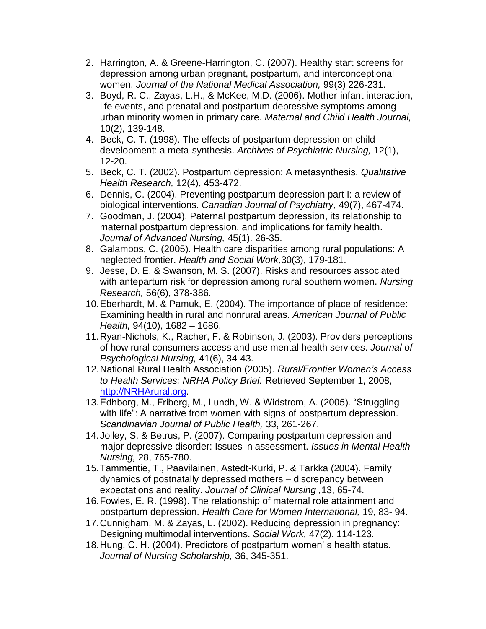- 2. Harrington, A. & Greene-Harrington, C. (2007). Healthy start screens for depression among urban pregnant, postpartum, and interconceptional women. *Journal of the National Medical Association,* 99(3) 226-231.
- 3. Boyd, R. C., Zayas, L.H., & McKee, M.D. (2006). Mother-infant interaction, life events, and prenatal and postpartum depressive symptoms among urban minority women in primary care. *Maternal and Child Health Journal,* 10(2), 139-148.
- 4. Beck, C. T. (1998). The effects of postpartum depression on child development: a meta-synthesis. *Archives of Psychiatric Nursing,* 12(1), 12-20.
- 5. Beck, C. T. (2002). Postpartum depression: A metasynthesis. *Qualitative Health Research,* 12(4), 453-472.
- 6. Dennis, C. (2004). Preventing postpartum depression part I: a review of biological interventions. *Canadian Journal of Psychiatry,* 49(7), 467-474.
- 7. Goodman, J. (2004). Paternal postpartum depression, its relationship to maternal postpartum depression, and implications for family health. *Journal of Advanced Nursing,* 45(1). 26-35.
- 8. Galambos, C. (2005). Health care disparities among rural populations: A neglected frontier. *Health and Social Work,*30(3), 179-181.
- 9. Jesse, D. E. & Swanson, M. S. (2007). Risks and resources associated with antepartum risk for depression among rural southern women. *Nursing Research,* 56(6), 378-386.
- 10.Eberhardt, M. & Pamuk, E. (2004). The importance of place of residence: Examining health in rural and nonrural areas. *American Journal of Public Health,* 94(10), 1682 – 1686.
- 11.Ryan-Nichols, K., Racher, F. & Robinson, J. (2003). Providers perceptions of how rural consumers access and use mental health services. *Journal of Psychological Nursing,* 41(6), 34-43.
- 12.National Rural Health Association (2005). *Rural/Frontier Women's Access to Health Services: NRHA Policy Brief.* Retrieved September 1, 2008, [http://NRHArural.org.](http://nrharural.org/)
- 13.Edhborg, M., Friberg, M., Lundh, W. & Widstrom, A. (2005). "Struggling with life": A narrative from women with signs of postpartum depression. *Scandinavian Journal of Public Health,* 33, 261-267.
- 14.Jolley, S, & Betrus, P. (2007). Comparing postpartum depression and major depressive disorder: Issues in assessment. *Issues in Mental Health Nursing,* 28, 765-780.
- 15.Tammentie, T., Paavilainen, Astedt-Kurki, P. & Tarkka (2004). Family dynamics of postnatally depressed mothers – discrepancy between expectations and reality. *Journal of Clinical Nursing ,*13, 65-74.
- 16.Fowles, E. R. (1998). The relationship of maternal role attainment and postpartum depression. *Health Care for Women International,* 19, 83- 94.
- 17.Cunnigham, M. & Zayas, L. (2002). Reducing depression in pregnancy: Designing multimodal interventions. *Social Work,* 47(2), 114-123.
- 18.Hung, C. H. (2004). Predictors of postpartum women' s health status*. Journal of Nursing Scholarship,* 36, 345-351.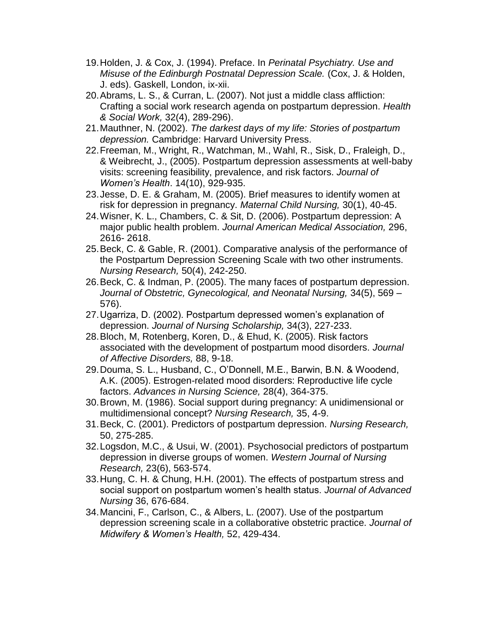- 19.Holden, J. & Cox, J. (1994). Preface. In *Perinatal Psychiatry. Use and Misuse of the Edinburgh Postnatal Depression Scale.* (Cox, J. & Holden, J. eds). Gaskell, London, ix-xii.
- 20.Abrams, L. S., & Curran, L. (2007). Not just a middle class affliction: Crafting a social work research agenda on postpartum depression. *Health & Social Work,* 32(4), 289-296).
- 21.Mauthner, N. (2002). *The darkest days of my life: Stories of postpartum depression.* Cambridge: Harvard University Press.
- 22.Freeman, M., Wright, R., Watchman, M., Wahl, R., Sisk, D., Fraleigh, D., & Weibrecht, J., (2005). Postpartum depression assessments at well-baby visits: screening feasibility, prevalence, and risk factors. *Journal of Women's Health*. 14(10), 929-935.
- 23.Jesse, D. E. & Graham, M. (2005). Brief measures to identify women at risk for depression in pregnancy. *Maternal Child Nursing,* 30(1), 40-45.
- 24.Wisner, K. L., Chambers, C. & Sit, D. (2006). Postpartum depression: A major public health problem. *Journal American Medical Association,* 296, 2616- 2618.
- 25.Beck, C. & Gable, R. (2001). Comparative analysis of the performance of the Postpartum Depression Screening Scale with two other instruments. *Nursing Research,* 50(4), 242-250.
- 26.Beck, C. & Indman, P. (2005). The many faces of postpartum depression. *Journal of Obstetric, Gynecological, and Neonatal Nursing,* 34(5), 569 – 576).
- 27.Ugarriza, D. (2002). Postpartum depressed women's explanation of depression. *Journal of Nursing Scholarship,* 34(3), 227-233.
- 28.Bloch, M, Rotenberg, Koren, D., & Ehud, K. (2005). Risk factors associated with the development of postpartum mood disorders. *Journal of Affective Disorders,* 88, 9-18.
- 29.Douma, S. L., Husband, C., O'Donnell, M.E., Barwin, B.N. & Woodend, A.K. (2005). Estrogen-related mood disorders: Reproductive life cycle factors. *Advances in Nursing Science,* 28(4), 364-375.
- 30.Brown, M. (1986). Social support during pregnancy: A unidimensional or multidimensional concept? *Nursing Research,* 35, 4-9.
- 31.Beck, C. (2001). Predictors of postpartum depression. *Nursing Research,* 50, 275-285.
- 32.Logsdon, M.C., & Usui, W. (2001). Psychosocial predictors of postpartum depression in diverse groups of women. *Western Journal of Nursing Research,* 23(6), 563-574.
- 33.Hung, C. H. & Chung, H.H. (2001). The effects of postpartum stress and social support on postpartum women's health status. *Journal of Advanced Nursing* 36, 676-684.
- 34.Mancini, F., Carlson, C., & Albers, L. (2007). Use of the postpartum depression screening scale in a collaborative obstetric practice. *Journal of Midwifery & Women's Health,* 52, 429-434.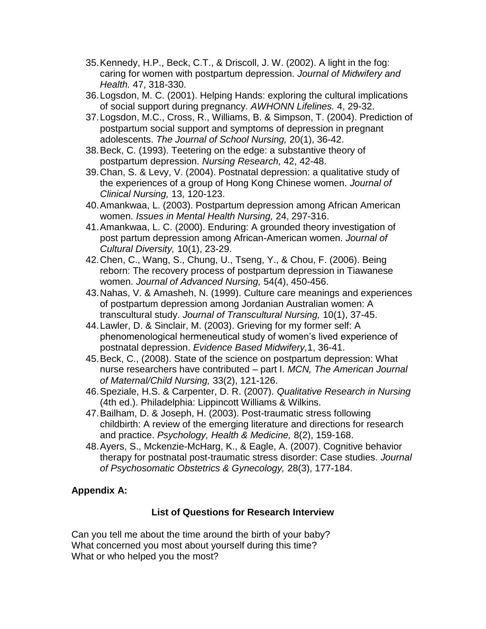- 35.Kennedy, H.P., Beck, C.T., & Driscoll, J. W. (2002). A light in the fog: caring for women with postpartum depression. *Journal of Midwifery and Health.* 47, 318-330.
- 36.Logsdon, M. C. (2001). Helping Hands: exploring the cultural implications of social support during pregnancy. *AWHONN Lifelines.* 4, 29-32.
- 37.Logsdon, M.C., Cross, R., Williams, B. & Simpson, T. (2004). Prediction of postpartum social support and symptoms of depression in pregnant adolescents. *The Journal of School Nursing,* 20(1), 36-42.
- 38.Beck, C. (1993). Teetering on the edge: a substantive theory of postpartum depression. *Nursing Research,* 42, 42-48.
- 39.Chan, S. & Levy, V. (2004). Postnatal depression: a qualitative study of the experiences of a group of Hong Kong Chinese women. *Journal of Clinical Nursing,* 13, 120-123.
- 40.Amankwaa, L. (2003). Postpartum depression among African American women. *Issues in Mental Health Nursing,* 24, 297-316.
- 41.Amankwaa, L. C. (2000). Enduring: A grounded theory investigation of post partum depression among African-American women. *Journal of Cultural Diversity,* 10(1), 23-29.
- 42.Chen, C., Wang, S., Chung, U., Tseng, Y., & Chou, F. (2006). Being reborn: The recovery process of postpartum depression in Tiawanese women. *Journal of Advanced Nursing,* 54(4), 450-456.
- 43.Nahas, V. & Amasheh, N. (1999). Culture care meanings and experiences of postpartum depression among Jordanian Australian women: A transcultural study. *Journal of Transcultural Nursing,* 10(1), 37-45.
- 44.Lawler, D. & Sinclair, M. (2003). Grieving for my former self: A phenomenological hermeneutical study of women's lived experience of postnatal depression. *Evidence Based Midwifery,*1, 36-41.
- 45.Beck, C., (2008). State of the science on postpartum depression: What nurse researchers have contributed – part I. *MCN, The American Journal of Maternal/Child Nursing,* 33(2), 121-126.
- 46.Speziale, H.S. & Carpenter, D. R. (2007). *Qualitative Research in Nursing* (4th ed.). Philadelphia: Lippincott Williams & Wilkins.
- 47.Bailham, D. & Joseph, H. (2003). Post-traumatic stress following childbirth: A review of the emerging literature and directions for research and practice. *Psychology, Health & Medicine,* 8(2), 159-168.
- 48.Ayers, S., Mckenzie-McHarg, K., & Eagle, A. (2007). Cognitive behavior therapy for postnatal post-traumatic stress disorder: Case studies. *Journal of Psychosomatic Obstetrics & Gynecology,* 28(3), 177-184.

# **Appendix A:**

#### **List of Questions for Research Interview**

Can you tell me about the time around the birth of your baby? What concerned you most about yourself during this time? What or who helped you the most?